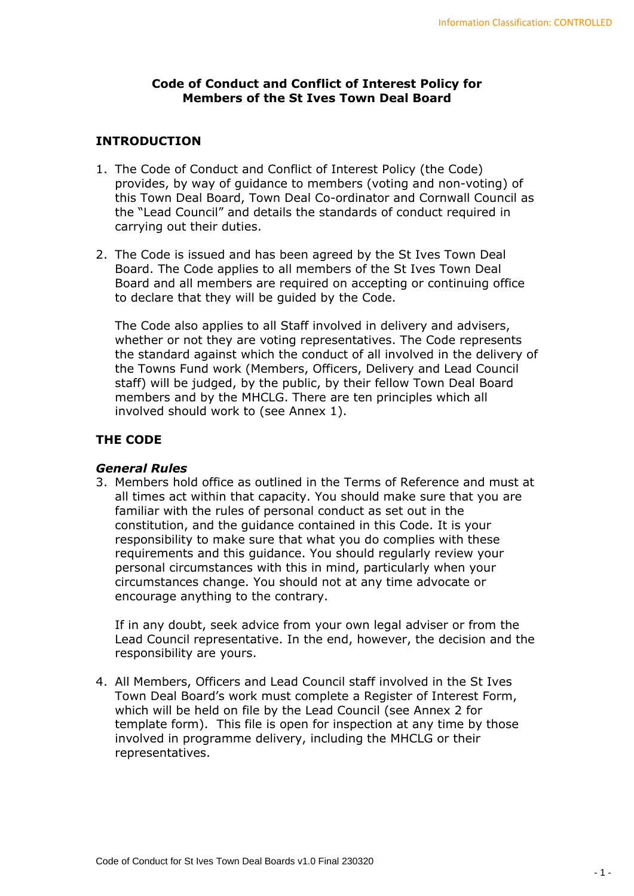## **Code of Conduct and Conflict of Interest Policy for Members of the St Ives Town Deal Board**

## **INTRODUCTION**

- 1. The Code of Conduct and Conflict of Interest Policy (the Code) provides, by way of guidance to members (voting and non-voting) of this Town Deal Board, Town Deal Co-ordinator and Cornwall Council as the "Lead Council" and details the standards of conduct required in carrying out their duties.
- 2. The Code is issued and has been agreed by the St Ives Town Deal Board. The Code applies to all members of the St Ives Town Deal Board and all members are required on accepting or continuing office to declare that they will be guided by the Code.

The Code also applies to all Staff involved in delivery and advisers, whether or not they are voting representatives. The Code represents the standard against which the conduct of all involved in the delivery of the Towns Fund work (Members, Officers, Delivery and Lead Council staff) will be judged, by the public, by their fellow Town Deal Board members and by the MHCLG. There are ten principles which all involved should work to (see Annex 1).

## **THE CODE**

## *General Rules*

3. Members hold office as outlined in the Terms of Reference and must at all times act within that capacity. You should make sure that you are familiar with the rules of personal conduct as set out in the constitution, and the guidance contained in this Code. It is your responsibility to make sure that what you do complies with these requirements and this guidance. You should regularly review your personal circumstances with this in mind, particularly when your circumstances change. You should not at any time advocate or encourage anything to the contrary.

If in any doubt, seek advice from your own legal adviser or from the Lead Council representative. In the end, however, the decision and the responsibility are yours.

4. All Members, Officers and Lead Council staff involved in the St Ives Town Deal Board's work must complete a Register of Interest Form, which will be held on file by the Lead Council (see Annex 2 for template form). This file is open for inspection at any time by those involved in programme delivery, including the MHCLG or their representatives.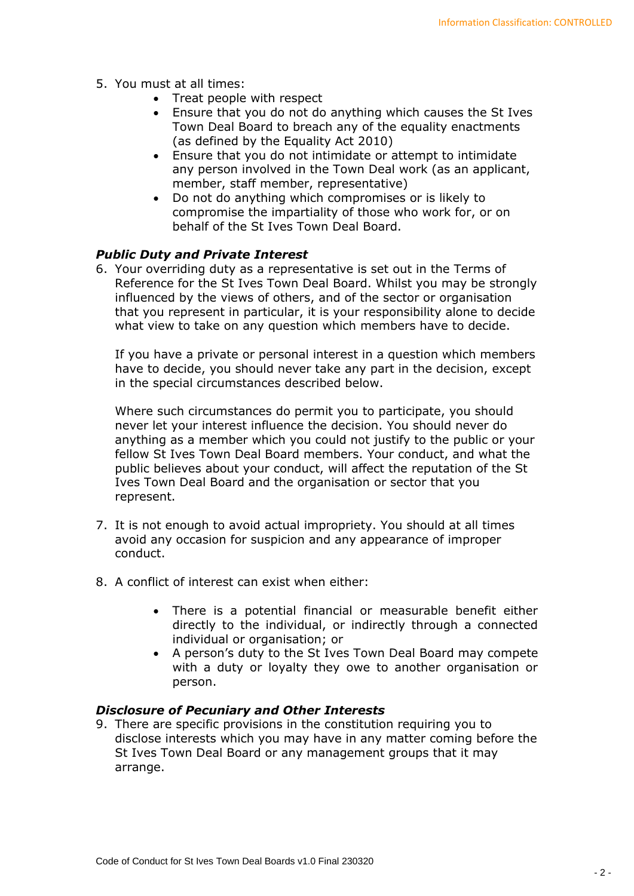- 5. You must at all times:
	- Treat people with respect
	- Ensure that you do not do anything which causes the St Ives Town Deal Board to breach any of the equality enactments (as defined by the Equality Act 2010)
	- Ensure that you do not intimidate or attempt to intimidate any person involved in the Town Deal work (as an applicant, member, staff member, representative)
	- Do not do anything which compromises or is likely to compromise the impartiality of those who work for, or on behalf of the St Ives Town Deal Board.

## *Public Duty and Private Interest*

6. Your overriding duty as a representative is set out in the Terms of Reference for the St Ives Town Deal Board. Whilst you may be strongly influenced by the views of others, and of the sector or organisation that you represent in particular, it is your responsibility alone to decide what view to take on any question which members have to decide.

If you have a private or personal interest in a question which members have to decide, you should never take any part in the decision, except in the special circumstances described below.

Where such circumstances do permit you to participate, you should never let your interest influence the decision. You should never do anything as a member which you could not justify to the public or your fellow St Ives Town Deal Board members. Your conduct, and what the public believes about your conduct, will affect the reputation of the St Ives Town Deal Board and the organisation or sector that you represent.

- 7. It is not enough to avoid actual impropriety. You should at all times avoid any occasion for suspicion and any appearance of improper conduct.
- 8. A conflict of interest can exist when either:
	- There is a potential financial or measurable benefit either directly to the individual, or indirectly through a connected individual or organisation; or
	- A person's duty to the St Ives Town Deal Board may compete with a duty or loyalty they owe to another organisation or person.

## *Disclosure of Pecuniary and Other Interests*

9. There are specific provisions in the constitution requiring you to disclose interests which you may have in any matter coming before the St Ives Town Deal Board or any management groups that it may arrange.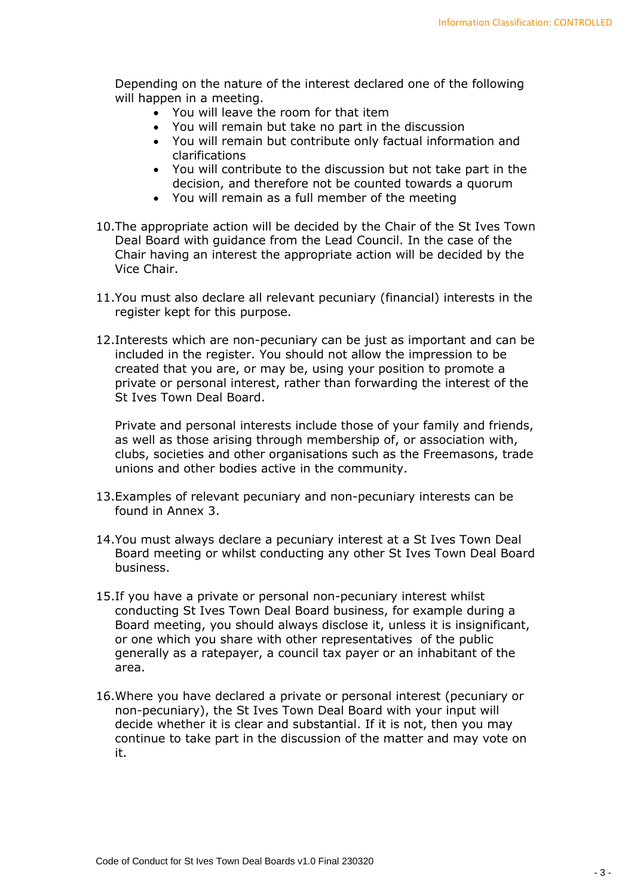Depending on the nature of the interest declared one of the following will happen in a meeting.

- You will leave the room for that item
- You will remain but take no part in the discussion
- You will remain but contribute only factual information and clarifications
- You will contribute to the discussion but not take part in the decision, and therefore not be counted towards a quorum
- You will remain as a full member of the meeting
- 10.The appropriate action will be decided by the Chair of the St Ives Town Deal Board with guidance from the Lead Council. In the case of the Chair having an interest the appropriate action will be decided by the Vice Chair.
- 11.You must also declare all relevant pecuniary (financial) interests in the register kept for this purpose.
- 12.Interests which are non-pecuniary can be just as important and can be included in the register. You should not allow the impression to be created that you are, or may be, using your position to promote a private or personal interest, rather than forwarding the interest of the St Ives Town Deal Board.

Private and personal interests include those of your family and friends, as well as those arising through membership of, or association with, clubs, societies and other organisations such as the Freemasons, trade unions and other bodies active in the community.

- 13.Examples of relevant pecuniary and non-pecuniary interests can be found in Annex 3.
- 14.You must always declare a pecuniary interest at a St Ives Town Deal Board meeting or whilst conducting any other St Ives Town Deal Board business.
- 15.If you have a private or personal non-pecuniary interest whilst conducting St Ives Town Deal Board business, for example during a Board meeting, you should always disclose it, unless it is insignificant, or one which you share with other representatives of the public generally as a ratepayer, a council tax payer or an inhabitant of the area.
- 16.Where you have declared a private or personal interest (pecuniary or non-pecuniary), the St Ives Town Deal Board with your input will decide whether it is clear and substantial. If it is not, then you may continue to take part in the discussion of the matter and may vote on it.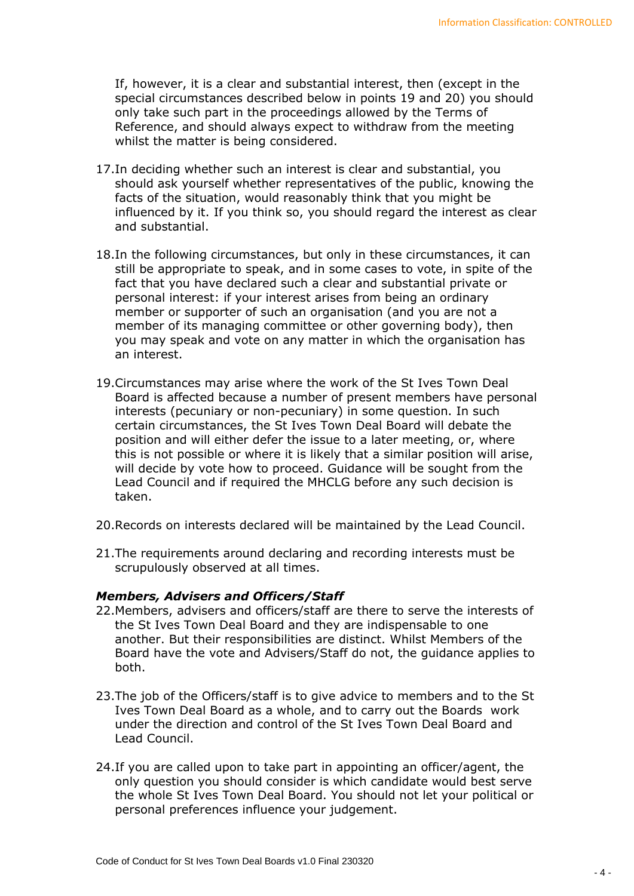If, however, it is a clear and substantial interest, then (except in the special circumstances described below in points 19 and 20) you should only take such part in the proceedings allowed by the Terms of Reference, and should always expect to withdraw from the meeting whilst the matter is being considered.

- 17.In deciding whether such an interest is clear and substantial, you should ask yourself whether representatives of the public, knowing the facts of the situation, would reasonably think that you might be influenced by it. If you think so, you should regard the interest as clear and substantial.
- 18.In the following circumstances, but only in these circumstances, it can still be appropriate to speak, and in some cases to vote, in spite of the fact that you have declared such a clear and substantial private or personal interest: if your interest arises from being an ordinary member or supporter of such an organisation (and you are not a member of its managing committee or other governing body), then you may speak and vote on any matter in which the organisation has an interest.
- 19.Circumstances may arise where the work of the St Ives Town Deal Board is affected because a number of present members have personal interests (pecuniary or non-pecuniary) in some question. In such certain circumstances, the St Ives Town Deal Board will debate the position and will either defer the issue to a later meeting, or, where this is not possible or where it is likely that a similar position will arise, will decide by vote how to proceed. Guidance will be sought from the Lead Council and if required the MHCLG before any such decision is taken.
- 20.Records on interests declared will be maintained by the Lead Council.
- 21.The requirements around declaring and recording interests must be scrupulously observed at all times.

#### *Members, Advisers and Officers/Staff*

- 22.Members, advisers and officers/staff are there to serve the interests of the St Ives Town Deal Board and they are indispensable to one another. But their responsibilities are distinct. Whilst Members of the Board have the vote and Advisers/Staff do not, the guidance applies to both.
- 23.The job of the Officers/staff is to give advice to members and to the St Ives Town Deal Board as a whole, and to carry out the Boards work under the direction and control of the St Ives Town Deal Board and Lead Council.
- 24.If you are called upon to take part in appointing an officer/agent, the only question you should consider is which candidate would best serve the whole St Ives Town Deal Board. You should not let your political or personal preferences influence your judgement.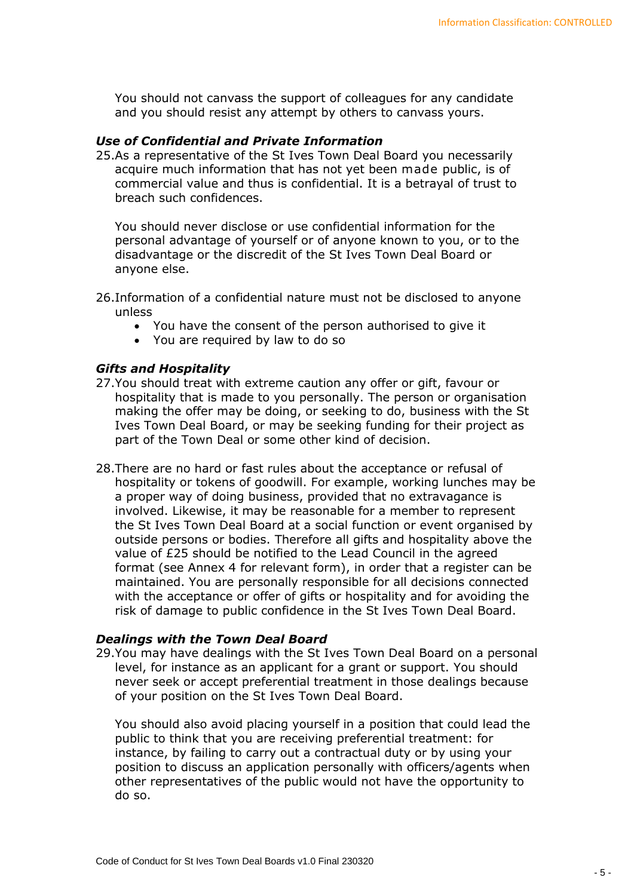You should not canvass the support of colleagues for any candidate and you should resist any attempt by others to canvass yours.

## *Use of Confidential and Private Information*

25.As a representative of the St Ives Town Deal Board you necessarily acquire much information that has not yet been made public, is of commercial value and thus is confidential. It is a betrayal of trust to breach such confidences.

You should never disclose or use confidential information for the personal advantage of yourself or of anyone known to you, or to the disadvantage or the discredit of the St Ives Town Deal Board or anyone else.

- 26.Information of a confidential nature must not be disclosed to anyone unless
	- You have the consent of the person authorised to give it
	- You are required by law to do so

### *Gifts and Hospitality*

- 27.You should treat with extreme caution any offer or gift, favour or hospitality that is made to you personally. The person or organisation making the offer may be doing, or seeking to do, business with the St Ives Town Deal Board, or may be seeking funding for their project as part of the Town Deal or some other kind of decision.
- 28.There are no hard or fast rules about the acceptance or refusal of hospitality or tokens of goodwill. For example, working lunches may be a proper way of doing business, provided that no extravagance is involved. Likewise, it may be reasonable for a member to represent the St Ives Town Deal Board at a social function or event organised by outside persons or bodies. Therefore all gifts and hospitality above the value of £25 should be notified to the Lead Council in the agreed format (see Annex 4 for relevant form), in order that a register can be maintained. You are personally responsible for all decisions connected with the acceptance or offer of gifts or hospitality and for avoiding the risk of damage to public confidence in the St Ives Town Deal Board.

#### *Dealings with the Town Deal Board*

29.You may have dealings with the St Ives Town Deal Board on a personal level, for instance as an applicant for a grant or support. You should never seek or accept preferential treatment in those dealings because of your position on the St Ives Town Deal Board.

You should also avoid placing yourself in a position that could lead the public to think that you are receiving preferential treatment: for instance, by failing to carry out a contractual duty or by using your position to discuss an application personally with officers/agents when other representatives of the public would not have the opportunity to do so.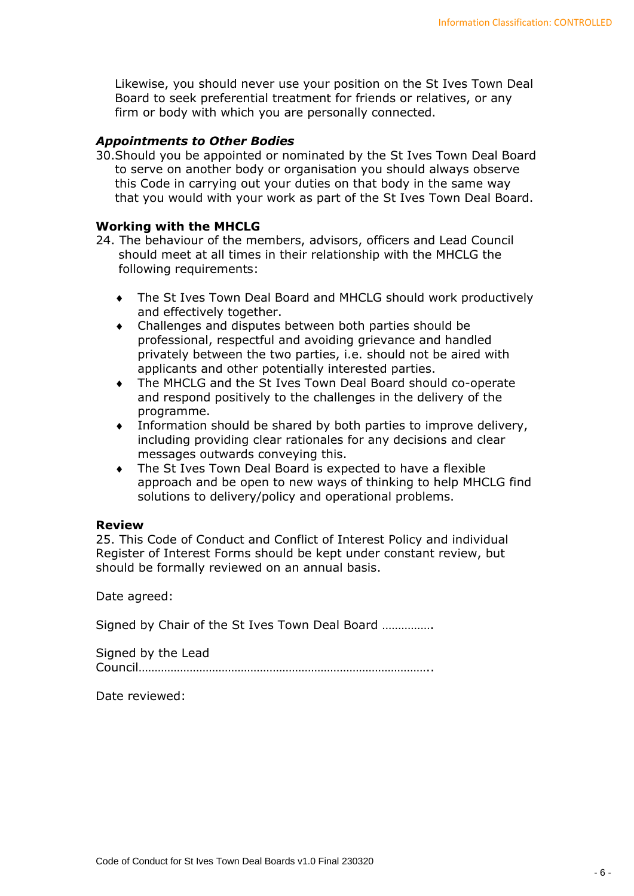Likewise, you should never use your position on the St Ives Town Deal Board to seek preferential treatment for friends or relatives, or any firm or body with which you are personally connected.

## *Appointments to Other Bodies*

30.Should you be appointed or nominated by the St Ives Town Deal Board to serve on another body or organisation you should always observe this Code in carrying out your duties on that body in the same way that you would with your work as part of the St Ives Town Deal Board.

## **Working with the MHCLG**

- 24. The behaviour of the members, advisors, officers and Lead Council should meet at all times in their relationship with the MHCLG the following requirements:
	- The St Ives Town Deal Board and MHCLG should work productively and effectively together.
	- Challenges and disputes between both parties should be professional, respectful and avoiding grievance and handled privately between the two parties, i.e. should not be aired with applicants and other potentially interested parties.
	- The MHCLG and the St Ives Town Deal Board should co-operate and respond positively to the challenges in the delivery of the programme.
	- Information should be shared by both parties to improve delivery, including providing clear rationales for any decisions and clear messages outwards conveying this.
	- The St Ives Town Deal Board is expected to have a flexible approach and be open to new ways of thinking to help MHCLG find solutions to delivery/policy and operational problems.

#### **Review**

25. This Code of Conduct and Conflict of Interest Policy and individual Register of Interest Forms should be kept under constant review, but should be formally reviewed on an annual basis.

Date agreed:

Signed by Chair of the St Ives Town Deal Board …………….

Signed by the Lead Council………………………………………………………………………………..

Date reviewed: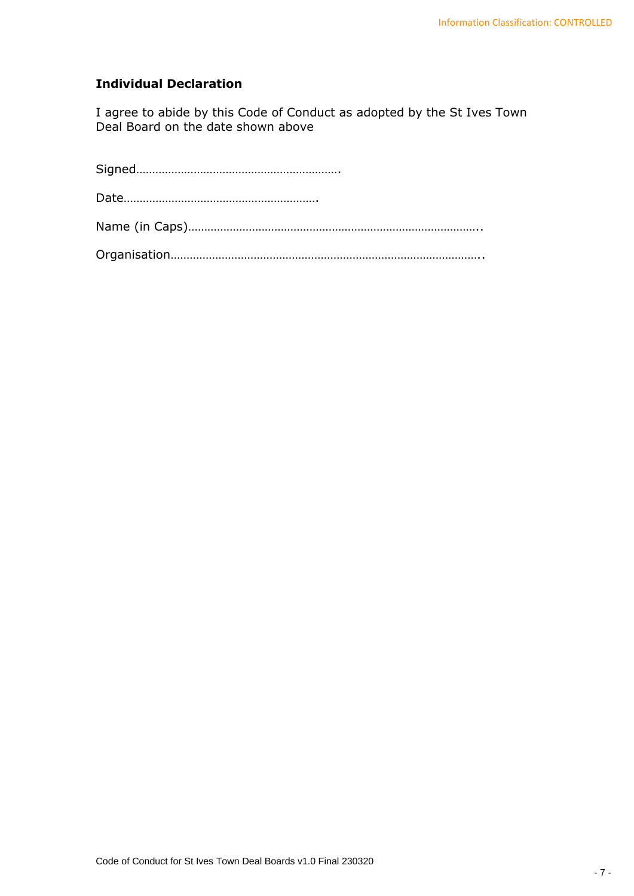# **Individual Declaration**

I agree to abide by this Code of Conduct as adopted by the St Ives Town Deal Board on the date shown above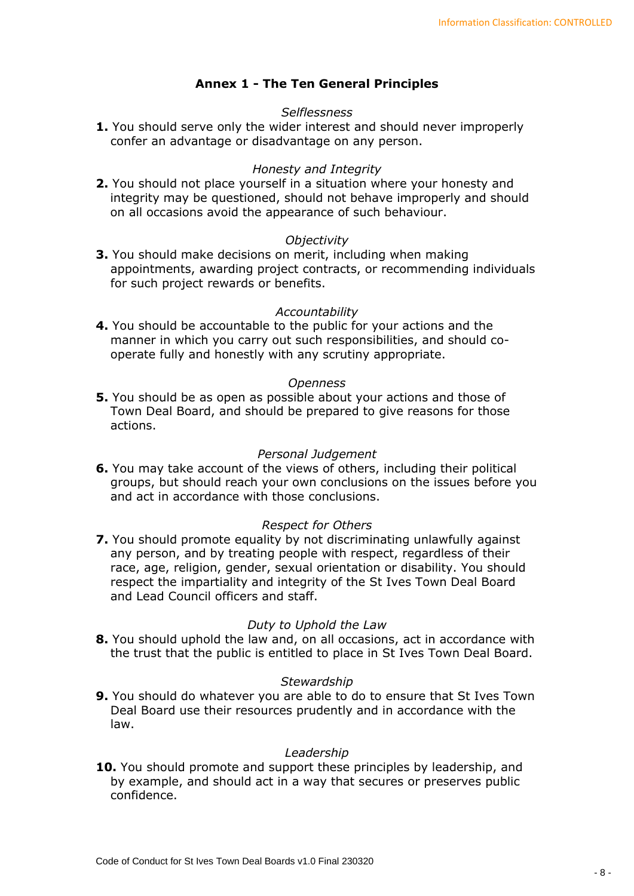# **Annex 1 - The Ten General Principles**

## *Selflessness*

**1.** You should serve only the wider interest and should never improperly confer an advantage or disadvantage on any person.

### *Honesty and Integrity*

**2.** You should not place yourself in a situation where your honesty and integrity may be questioned, should not behave improperly and should on all occasions avoid the appearance of such behaviour.

#### *Objectivity*

**3.** You should make decisions on merit, including when making appointments, awarding project contracts, or recommending individuals for such project rewards or benefits.

#### *Accountability*

**4.** You should be accountable to the public for your actions and the manner in which you carry out such responsibilities, and should cooperate fully and honestly with any scrutiny appropriate.

#### *Openness*

**5.** You should be as open as possible about your actions and those of Town Deal Board, and should be prepared to give reasons for those actions.

#### *Personal Judgement*

**6.** You may take account of the views of others, including their political groups, but should reach your own conclusions on the issues before you and act in accordance with those conclusions.

## *Respect for Others*

**7.** You should promote equality by not discriminating unlawfully against any person, and by treating people with respect, regardless of their race, age, religion, gender, sexual orientation or disability. You should respect the impartiality and integrity of the St Ives Town Deal Board and Lead Council officers and staff.

#### *Duty to Uphold the Law*

**8.** You should uphold the law and, on all occasions, act in accordance with the trust that the public is entitled to place in St Ives Town Deal Board.

#### *Stewardship*

**9.** You should do whatever you are able to do to ensure that St Ives Town Deal Board use their resources prudently and in accordance with the law.

#### *Leadership*

**10.** You should promote and support these principles by leadership, and by example, and should act in a way that secures or preserves public confidence.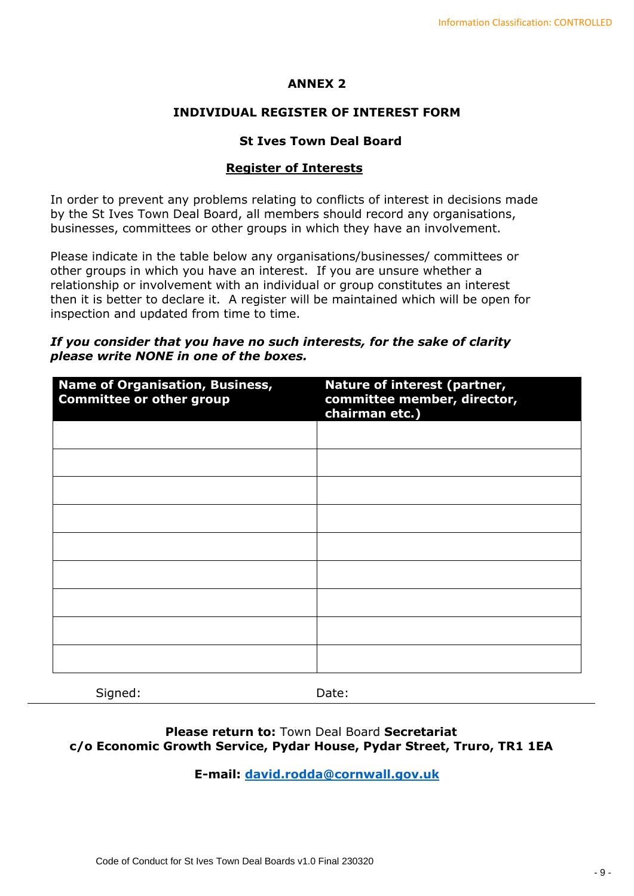## **ANNEX 2**

## **INDIVIDUAL REGISTER OF INTEREST FORM**

## **St Ives Town Deal Board**

## **Register of Interests**

In order to prevent any problems relating to conflicts of interest in decisions made by the St Ives Town Deal Board, all members should record any organisations, businesses, committees or other groups in which they have an involvement.

Please indicate in the table below any organisations/businesses/ committees or other groups in which you have an interest. If you are unsure whether a relationship or involvement with an individual or group constitutes an interest then it is better to declare it. A register will be maintained which will be open for inspection and updated from time to time.

## *If you consider that you have no such interests, for the sake of clarity please write NONE in one of the boxes.*

| Nature of interest (partner,<br>committee member, director,<br>chairman etc.) |
|-------------------------------------------------------------------------------|
|                                                                               |
|                                                                               |
|                                                                               |
|                                                                               |
|                                                                               |
|                                                                               |
|                                                                               |
|                                                                               |
|                                                                               |
|                                                                               |

Signed: Date:

## **Please return to:** Town Deal Board **Secretariat c/o Economic Growth Service, Pydar House, Pydar Street, Truro, TR1 1EA**

**E-mail: [david.rodda@cornwall.gov.uk](mailto:david.rodda@cornwall.gov.uk)**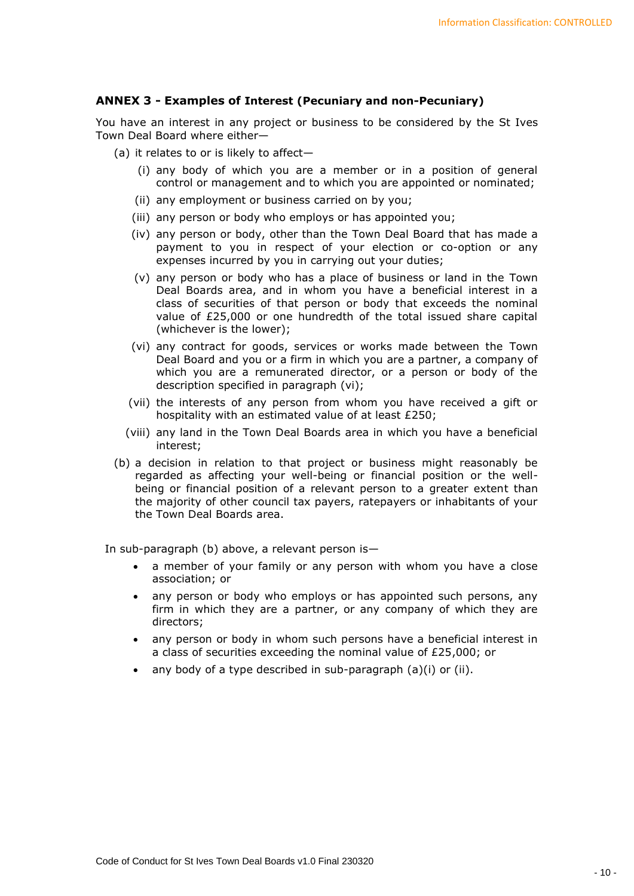### **ANNEX 3 - Examples of Interest (Pecuniary and non-Pecuniary)**

You have an interest in any project or business to be considered by the St Ives Town Deal Board where either—

- (a) it relates to or is likely to affect—
	- (i) any body of which you are a member or in a position of general control or management and to which you are appointed or nominated;
	- (ii) any employment or business carried on by you;
	- (iii) any person or body who employs or has appointed you;
	- (iv) any person or body, other than the Town Deal Board that has made a payment to you in respect of your election or co-option or any expenses incurred by you in carrying out your duties;
	- (v) any person or body who has a place of business or land in the Town Deal Boards area, and in whom you have a beneficial interest in a class of securities of that person or body that exceeds the nominal value of £25,000 or one hundredth of the total issued share capital (whichever is the lower);
	- (vi) any contract for goods, services or works made between the Town Deal Board and you or a firm in which you are a partner, a company of which you are a remunerated director, or a person or body of the description specified in paragraph (vi);
	- (vii) the interests of any person from whom you have received a gift or hospitality with an estimated value of at least £250;
	- (viii) any land in the Town Deal Boards area in which you have a beneficial interest;
- (b) a decision in relation to that project or business might reasonably be regarded as affecting your well-being or financial position or the wellbeing or financial position of a relevant person to a greater extent than the majority of other council tax payers, ratepayers or inhabitants of your the Town Deal Boards area.

In sub-paragraph (b) above, a relevant person is—

- a member of your family or any person with whom you have a close association; or
- any person or body who employs or has appointed such persons, any firm in which they are a partner, or any company of which they are directors;
- any person or body in whom such persons have a beneficial interest in a class of securities exceeding the nominal value of £25,000; or
- any body of a type described in sub-paragraph (a)(i) or (ii).